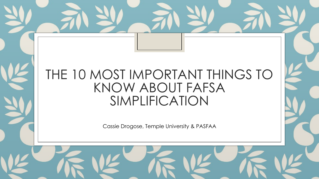### THE 10 MOST IMPORTANT THINGS TO KNOW ABOUT FAFSA SIMPLIFICATION

Cassie Drogose, Temple University & PASFAA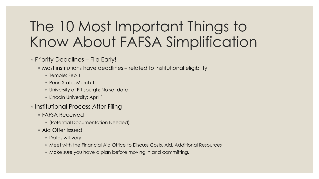# The 10 Most Important Things to Know About FAFSA Simplification

#### ◦ Priority Deadlines – File Early!

- Most institutions have deadlines related to institutional eligibility
	- Temple: Feb 1
	- Penn State: March 1
	- University of Pittsburgh: No set date
	- Lincoln University: April 1
- Institutional Process After Filing
	- FAFSA Received
		- (Potential Documentation Needed)
	- Aid Offer Issued
		- Dates will vary
		- Meet with the Financial Aid Office to Discuss Costs, Aid, Additional Resources
		- Make sure you have a plan before moving in and committing.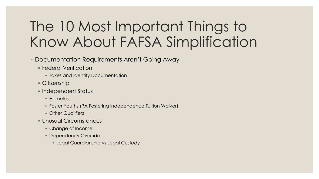# The 10 Most Important Things to Know About FAFSA Simplification

#### ◦ Documentation Requirements Aren't Going Away

- Federal Verification
	- Taxes and Identity Documentation
- Citizenship
- Independent Status
	- Homeless
	- Foster Youths (PA Fostering Independence Tuition Waiver)
	- Other Qualifiers
- Unusual Circumstances
	- Change of Income
	- Dependency Override
		- Legal Guardianship vs Legal Custody